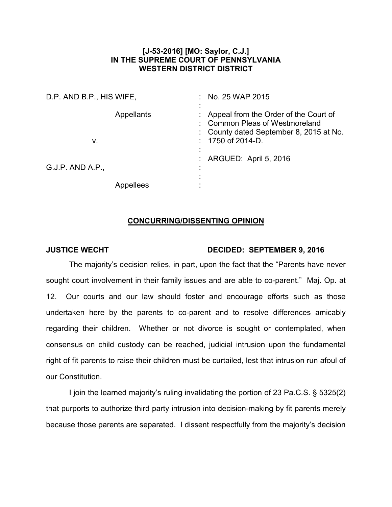## **[J-53-2016] [MO: Saylor, C.J.] IN THE SUPREME COURT OF PENNSYLVANIA WESTERN DISTRICT DISTRICT**

| D.P. AND B.P., HIS WIFE, |                   | No. 25 WAP 2015                                                                                                                          |
|--------------------------|-------------------|------------------------------------------------------------------------------------------------------------------------------------------|
| V.                       | <b>Appellants</b> | Appeal from the Order of the Court of<br><b>Common Pleas of Westmoreland</b><br>County dated September 8, 2015 at No.<br>1750 of 2014-D. |
| $G.J.P.$ AND A.P.,       |                   | ARGUED: April 5, 2016                                                                                                                    |
|                          | Appellees         |                                                                                                                                          |

## **CONCURRING/DISSENTING OPINION**

## **JUSTICE WECHT DECIDED: SEPTEMBER 9, 2016**

The majority's decision relies, in part, upon the fact that the "Parents have never sought court involvement in their family issues and are able to co-parent." Maj. Op. at 12. Our courts and our law should foster and encourage efforts such as those undertaken here by the parents to co-parent and to resolve differences amicably regarding their children. Whether or not divorce is sought or contemplated, when consensus on child custody can be reached, judicial intrusion upon the fundamental right of fit parents to raise their children must be curtailed, lest that intrusion run afoul of our Constitution.

I join the learned majority's ruling invalidating the portion of 23 Pa.C.S. § 5325(2) that purports to authorize third party intrusion into decision-making by fit parents merely because those parents are separated. I dissent respectfully from the majority's decision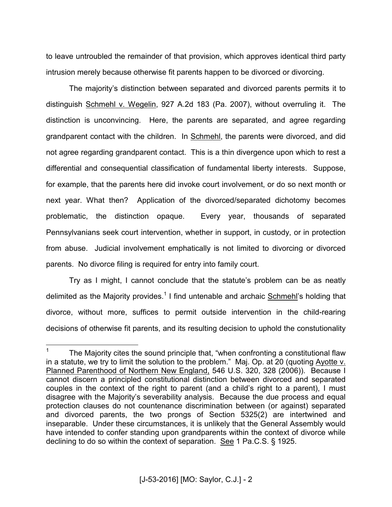to leave untroubled the remainder of that provision, which approves identical third party intrusion merely because otherwise fit parents happen to be divorced or divorcing.

The majority's distinction between separated and divorced parents permits it to distinguish Schmehl v. Wegelin, 927 A.2d 183 (Pa. 2007), without overruling it. The distinction is unconvincing. Here, the parents are separated, and agree regarding grandparent contact with the children. In Schmehl, the parents were divorced, and did not agree regarding grandparent contact. This is a thin divergence upon which to rest a differential and consequential classification of fundamental liberty interests. Suppose, for example, that the parents here did invoke court involvement, or do so next month or next year. What then? Application of the divorced/separated dichotomy becomes problematic, the distinction opaque. Every year, thousands of separated Pennsylvanians seek court intervention, whether in support, in custody, or in protection from abuse. Judicial involvement emphatically is not limited to divorcing or divorced parents. No divorce filing is required for entry into family court.

Try as I might, I cannot conclude that the statute's problem can be as neatly delimited as the Majority provides.<sup>1</sup> I find untenable and archaic Schmehl's holding that divorce, without more, suffices to permit outside intervention in the child-rearing decisions of otherwise fit parents, and its resulting decision to uphold the constutionality

 $\overline{a}$ 

<sup>1</sup> The Majority cites the sound principle that, "when confronting a constitutional flaw in a statute, we try to limit the solution to the problem." Maj. Op. at 20 (quoting Ayotte v. Planned Parenthood of Northern New England, 546 U.S. 320, 328 (2006)). Because I cannot discern a principled constitutional distinction between divorced and separated couples in the context of the right to parent (and a child's right to a parent), I must disagree with the Majority's severability analysis. Because the due process and equal protection clauses do not countenance discrimination between (or against) separated and divorced parents, the two prongs of Section 5325(2) are intertwined and inseparable. Under these circumstances, it is unlikely that the General Assembly would have intended to confer standing upon grandparents within the context of divorce while declining to do so within the context of separation. See 1 Pa.C.S. § 1925.